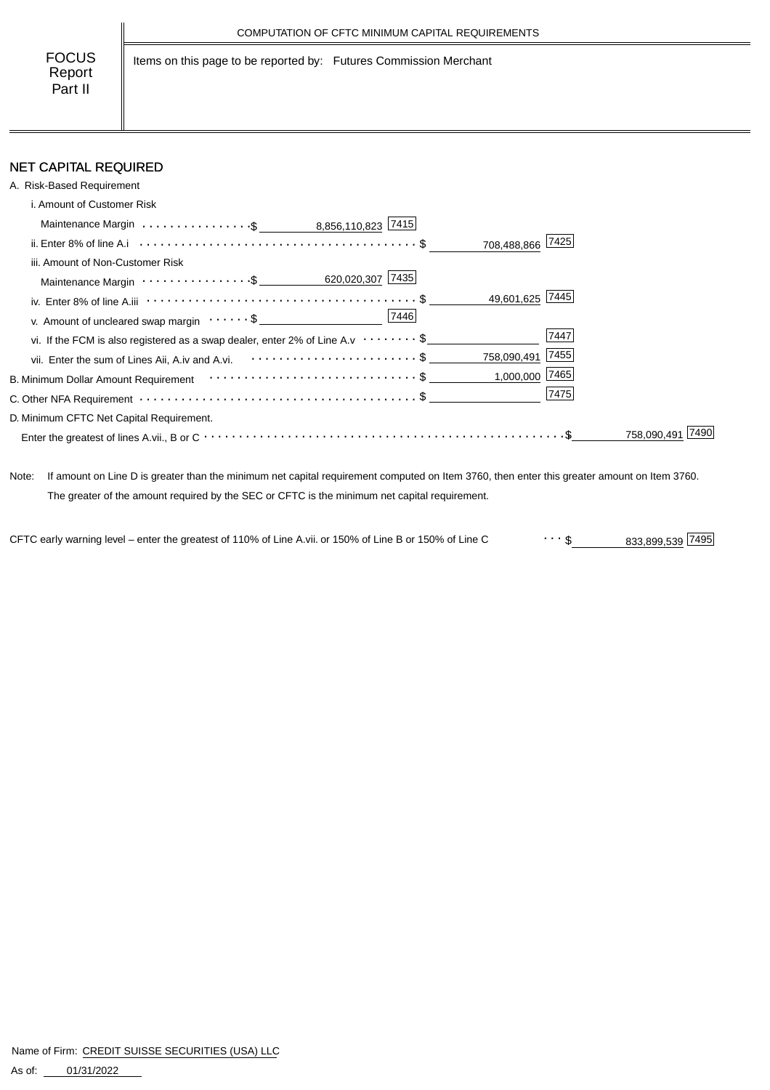Items on this page to be reported by: Futures Commission Merchant

# NET CAPITAL REQUIRED

| A. Risk-Based Requirement                                                                                      |                    |
|----------------------------------------------------------------------------------------------------------------|--------------------|
| i. Amount of Customer Risk                                                                                     |                    |
| Maintenance Margin \$ _ 8,856,110,823 7415                                                                     |                    |
|                                                                                                                | 708,488,866 7425   |
| iii. Amount of Non-Customer Risk                                                                               |                    |
|                                                                                                                |                    |
|                                                                                                                | 49,601,625 7445    |
| v. Amount of uncleared swap margin $\dots \dots$ \$                                                            | 7446               |
| vi. If the FCM is also registered as a swap dealer, enter 2% of Line A.v $\cdots \cdots$ \$                    | 7447               |
|                                                                                                                | 758,090,491 7455   |
| B. Minimum Dollar Amount Requirement (and the context of the context of the Section of Section 1.5 Section 1.5 | $1,000,000$ [7465] |
|                                                                                                                | 7475               |
| D. Minimum CFTC Net Capital Requirement.                                                                       |                    |
|                                                                                                                | 758.090.4          |

Note: If amount on Line D is greater than the minimum net capital requirement computed on Item 3760, then enter this greater amount on Item 3760. The greater of the amount required by the SEC or CFTC is the minimum net capital requirement.

833,899,539 \$ CFTC early warning level – enter the greatest of 110% of Line A.vii. or 150% of Line B or 150% of Line C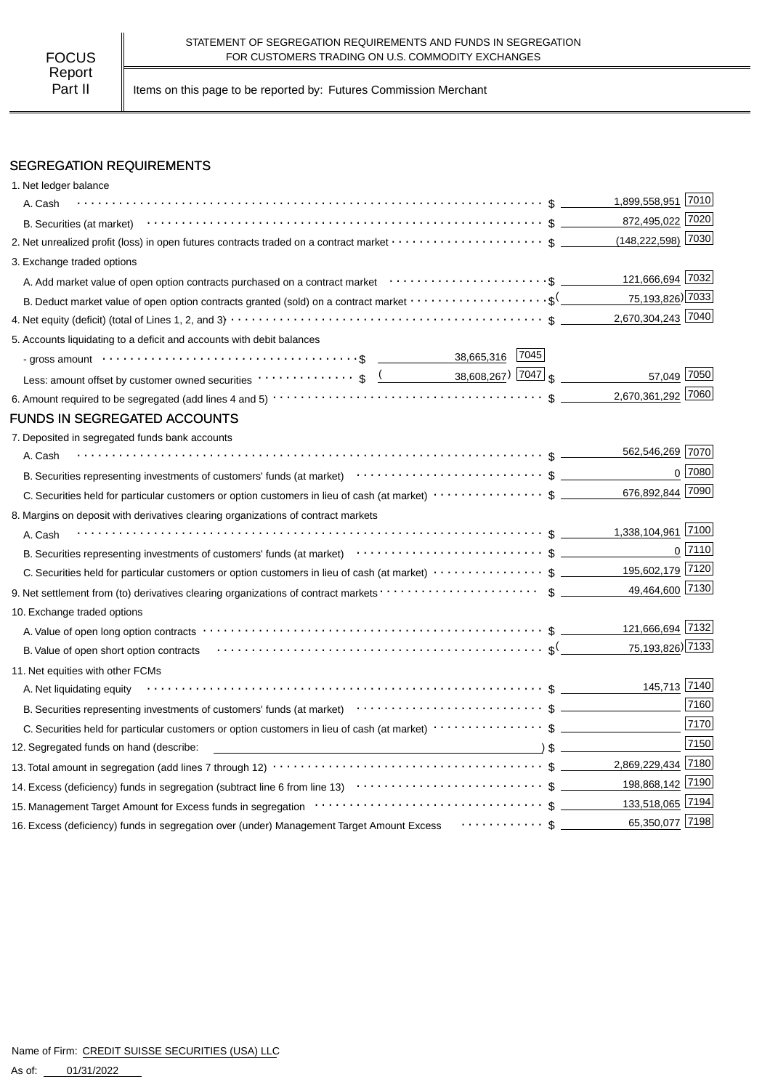Part II | Items on this page to be reported by: Futures Commission Merchant

## SEGREGATION REQUIREMENTS

| 1. Net ledger balance                                                                                                                                                                                                          |                        |                |
|--------------------------------------------------------------------------------------------------------------------------------------------------------------------------------------------------------------------------------|------------------------|----------------|
| A. Cash                                                                                                                                                                                                                        | 1,899,558,951 7010     |                |
|                                                                                                                                                                                                                                | 872,495,022 7020       |                |
| 2. Net unrealized profit (loss) in open futures contracts traded on a contract market $\cdots\cdots\cdots\cdots\cdots\cdots$ \$                                                                                                | $(148, 222, 598)$ 7030 |                |
| 3. Exchange traded options                                                                                                                                                                                                     |                        |                |
| A. Add market value of open option contracts purchased on a contract market enter-inferent content of the content                                                                                                              | 121,666,694 7032       |                |
| B. Deduct market value of open option contracts granted (sold) on a contract market $\cdots\cdots\cdots\cdots\cdots\cdots$                                                                                                     | 75,193,826) 7033       |                |
|                                                                                                                                                                                                                                | 2,670,304,243 7040     |                |
| 5. Accounts liquidating to a deficit and accounts with debit balances                                                                                                                                                          |                        |                |
| - gross amount \bit \\contract \\contract \\contract \\contract \\contract \\contract \\contract \\contract \\contract \\contract \\contract \\contract \\contract \\contract \\contract \\contract \\contract \\contract \\co |                        |                |
|                                                                                                                                                                                                                                | 57,049 7050            |                |
|                                                                                                                                                                                                                                | 2,670,361,292 7060     |                |
| <b>FUNDS IN SEGREGATED ACCOUNTS</b>                                                                                                                                                                                            |                        |                |
| 7. Deposited in segregated funds bank accounts                                                                                                                                                                                 |                        |                |
| A. Cash                                                                                                                                                                                                                        | 562,546,269 7070       |                |
|                                                                                                                                                                                                                                |                        | $0$ 7080       |
|                                                                                                                                                                                                                                | 676,892,844 7090       |                |
| 8. Margins on deposit with derivatives clearing organizations of contract markets                                                                                                                                              |                        |                |
| A. Cash                                                                                                                                                                                                                        | 1,338,104,961 7100     |                |
|                                                                                                                                                                                                                                |                        | $0\sqrt{7110}$ |
| C. Securities held for particular customers or option customers in lieu of cash (at market) $\cdots \cdots \cdots \cdots$ \$ ____________195,602,179 7120                                                                      |                        |                |
|                                                                                                                                                                                                                                | 49,464,600 7130        |                |
| 10. Exchange traded options                                                                                                                                                                                                    |                        |                |
|                                                                                                                                                                                                                                | 121,666,694 7132       |                |
|                                                                                                                                                                                                                                |                        |                |
| 11. Net equities with other FCMs                                                                                                                                                                                               |                        |                |
| A. Net liquidating equity                                                                                                                                                                                                      | 145,713 7140           |                |
|                                                                                                                                                                                                                                |                        | 7160           |
| C. Securities held for particular customers or option customers in lieu of cash (at market) $\cdots\cdots\cdots\cdots\$                                                                                                        |                        | 7170           |
|                                                                                                                                                                                                                                |                        | 7150           |
| 12. Segregated funds on hand (describe:                                                                                                                                                                                        | 2,869,229,434 7180     |                |
|                                                                                                                                                                                                                                |                        |                |
|                                                                                                                                                                                                                                |                        |                |
|                                                                                                                                                                                                                                | 65,350,077 7198        |                |
| 16. Excess (deficiency) funds in segregation over (under) Management Target Amount Excess  \$                                                                                                                                  |                        |                |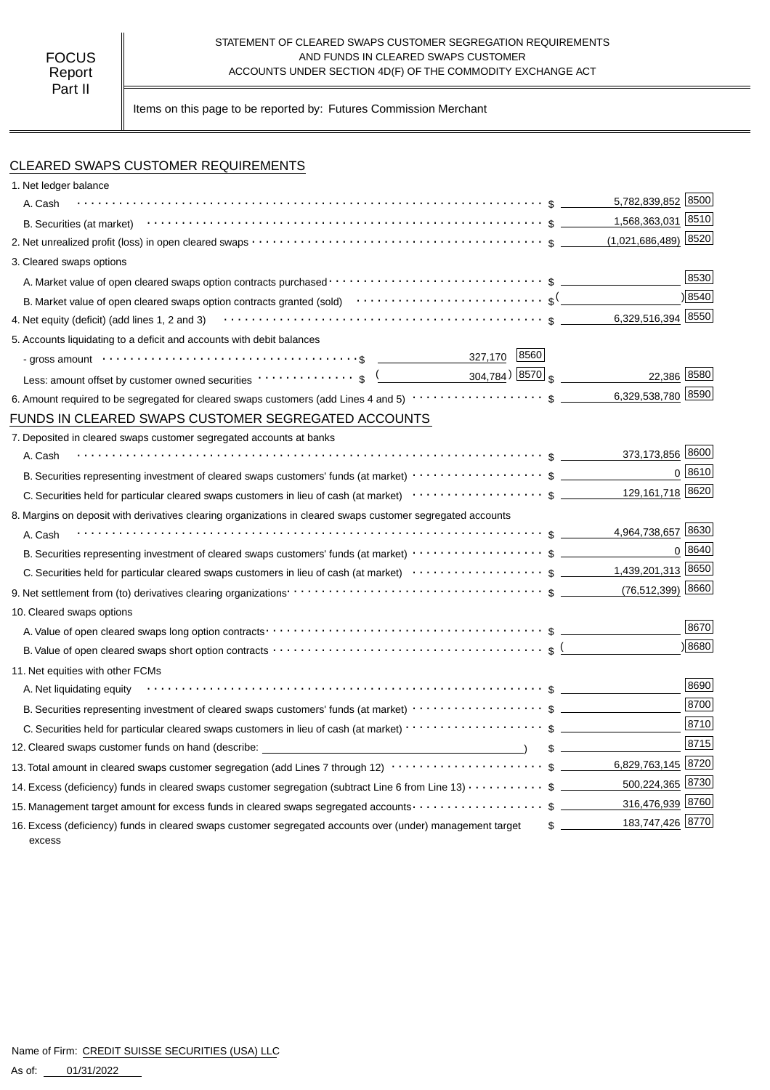#### STATEMENT OF CLEARED SWAPS CUSTOMER SEGREGATION REQUIREMENTS AND FUNDS IN CLEARED SWAPS CUSTOMER ACCOUNTS UNDER SECTION 4D(F) OF THE COMMODITY EXCHANGE ACT

Items on this page to be reported by: Futures Commission Merchant

## CLEARED SWAPS CUSTOMER REQUIREMENTS

| 1. Net ledger balance                                                                                                                                                                                            |                                                |        |
|------------------------------------------------------------------------------------------------------------------------------------------------------------------------------------------------------------------|------------------------------------------------|--------|
| A. Cash                                                                                                                                                                                                          | 5,782,839,852 8500                             |        |
|                                                                                                                                                                                                                  | 1,568,363,031 8510                             |        |
|                                                                                                                                                                                                                  |                                                | 8520   |
| 3. Cleared swaps options                                                                                                                                                                                         |                                                |        |
|                                                                                                                                                                                                                  |                                                | 8530   |
| B. Market value of open cleared swaps option contracts granted (sold) $\cdots\cdots\cdots\cdots\cdots\cdots\cdots\cdots$                                                                                         |                                                | 8540   |
| 4. Net equity (deficit) (add lines 1, 2 and 3) $\cdots$ $\cdots$ $\cdots$ $\cdots$ $\cdots$ $\cdots$ $\cdots$ $\cdots$ $\cdots$ $\cdots$ $\cdots$ $\cdots$ $\cdots$ $\cdots$ $\cdots$ $\cdots$ $\cdots$ $\cdots$ | 6,329,516,394 8550                             |        |
| 5. Accounts liquidating to a deficit and accounts with debit balances                                                                                                                                            |                                                |        |
| 327,170 8560<br>- gross amount $\cdots \cdots \cdots \cdots \cdots \cdots \cdots \cdots \cdots \cdots \cdots \cdots \cdots$                                                                                      |                                                |        |
| Less: amount offset by customer owned securities $\cdots \cdots \cdots \cdots$ \$                                                                                                                                | $304,784$ <sup>)</sup> $8570$ s<br>22,386 8580 |        |
|                                                                                                                                                                                                                  | 6,329,538,780 8590                             |        |
| FUNDS IN CLEARED SWAPS CUSTOMER SEGREGATED ACCOUNTS                                                                                                                                                              |                                                |        |
| 7. Deposited in cleared swaps customer segregated accounts at banks                                                                                                                                              |                                                |        |
| A. Cash                                                                                                                                                                                                          | 373,173,856 8600                               |        |
|                                                                                                                                                                                                                  |                                                | 0 8610 |
|                                                                                                                                                                                                                  | 129,161,718 8620                               |        |
| 8. Margins on deposit with derivatives clearing organizations in cleared swaps customer segregated accounts                                                                                                      |                                                |        |
| A. Cash                                                                                                                                                                                                          | 4,964,738,657 8630                             |        |
| B. Securities representing investment of cleared swaps customers' funds (at market) $\cdots\cdots\cdots\cdots\cdots$ \$                                                                                          |                                                | 0 8640 |
|                                                                                                                                                                                                                  |                                                |        |
|                                                                                                                                                                                                                  |                                                |        |
| 10. Cleared swaps options                                                                                                                                                                                        |                                                |        |
|                                                                                                                                                                                                                  |                                                | 8670   |
|                                                                                                                                                                                                                  |                                                | 8680   |
| 11. Net equities with other FCMs                                                                                                                                                                                 |                                                |        |
| A. Net liquidating equity                                                                                                                                                                                        |                                                | 8690   |
| B. Securities representing investment of cleared swaps customers' funds (at market) $\cdots\cdots\cdots\cdots\cdots$ \$                                                                                          |                                                | 8700   |
| C. Securities held for particular cleared swaps customers in lieu of cash (at market) · · · · · · · · · · · · · · · · · · \$                                                                                     |                                                | 8710   |
| 12. Cleared swaps customer funds on hand (describe: _____________________________                                                                                                                                |                                                | 8715   |
| 13. Total amount in cleared swaps customer segregation (add Lines 7 through 12) $\cdots\cdots\cdots\cdots\cdots\cdots\cdots\cdots\$ \$ ________6,829,763,145 8720                                                |                                                |        |
| 14. Excess (deficiency) funds in cleared swaps customer segregation (subtract Line 6 from Line 13) \$                                                                                                            | 500,224,365 8730                               |        |
| 15. Management target amount for excess funds in cleared swaps segregated accounts \$                                                                                                                            | 316,476,939 8760                               |        |
| 16. Excess (deficiency) funds in cleared swaps customer segregated accounts over (under) management target<br>excess                                                                                             | 183,747,426 8770                               |        |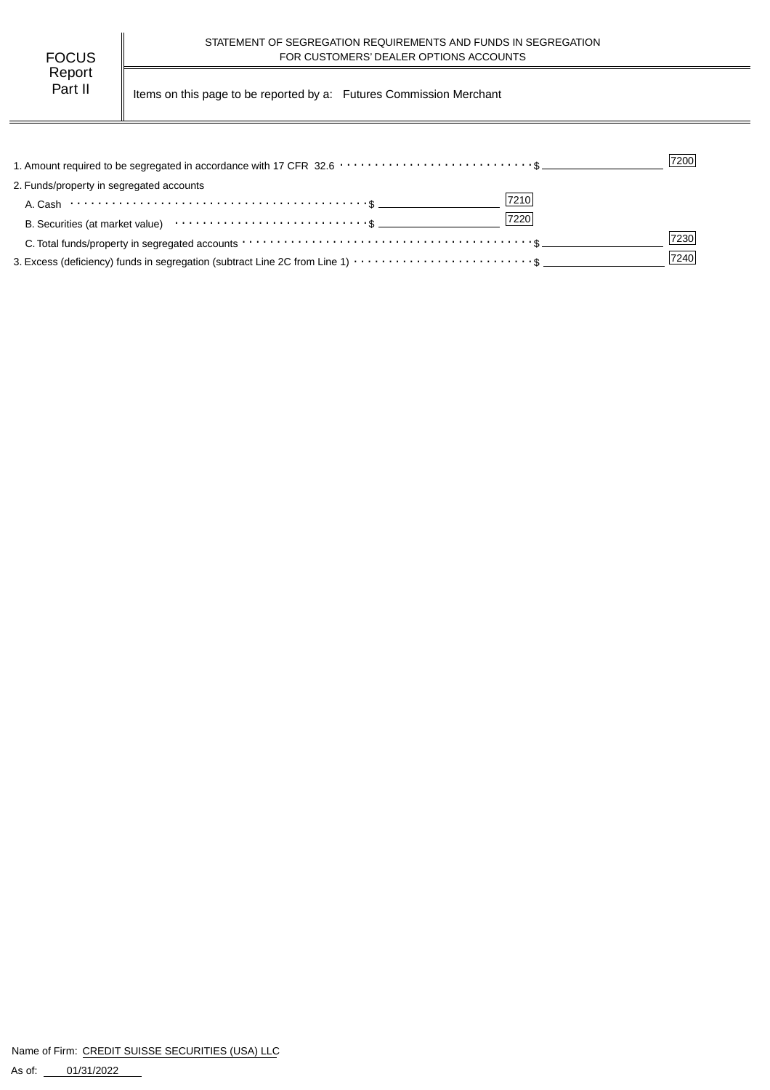| FOCUS   |  |
|---------|--|
| Report  |  |
| Part II |  |

Items on this page to be reported by a: Futures Commission Merchant

|                                                                                                                                                                 | 7200 |
|-----------------------------------------------------------------------------------------------------------------------------------------------------------------|------|
| 2. Funds/property in segregated accounts                                                                                                                        |      |
| 7210<br>A. Cash $\cdots$ $\cdots$ $\cdots$ $\cdots$ $\cdots$ $\cdots$ $\cdots$ $\cdots$ $\cdots$ $\cdots$ $\cdots$ $\cdots$ $\cdots$ $\cdots$ $\cdots$ $\cdots$ |      |
| 7220                                                                                                                                                            |      |
|                                                                                                                                                                 | 7230 |
|                                                                                                                                                                 | 7240 |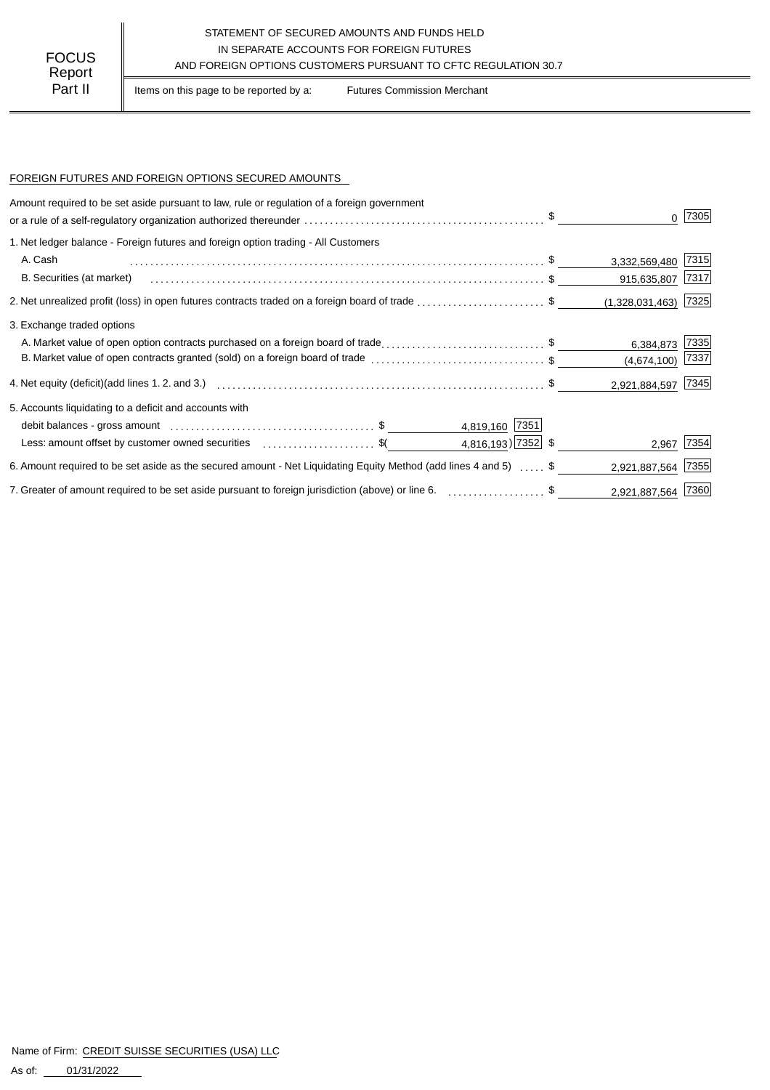## STATEMENT OF SECURED AMOUNTS AND FUNDS HELD IN SEPARATE ACCOUNTS FOR FOREIGN FUTURES FOCUS IN SEPARATE ACCOUNTS FOR FOREIGN FUTURES<br>Report

Part II | Items on this page to be reported by a: Futures Commission Merchant

#### FOREIGN FUTURES AND FOREIGN OPTIONS SECURED AMOUNTS

| Amount required to be set aside pursuant to law, rule or regulation of a foreign government                                |                    |                        | 7305 |
|----------------------------------------------------------------------------------------------------------------------------|--------------------|------------------------|------|
| 1. Net ledger balance - Foreign futures and foreign option trading - All Customers                                         |                    |                        |      |
| A. Cash                                                                                                                    |                    | 3,332,569,480 7315     |      |
| B. Securities (at market)                                                                                                  |                    | 915,635,807 7317       |      |
| 2. Net unrealized profit (loss) in open futures contracts traded on a foreign board of trade \$                            |                    | $(1,328,031,463)$ 7325 |      |
| 3. Exchange traded options                                                                                                 |                    |                        |      |
| A. Market value of open option contracts purchased on a foreign board of trade\$                                           |                    | 6,384,873              | 7335 |
| B. Market value of open contracts granted (sold) on a foreign board of trade \$                                            |                    | (4,674,100)            | 7337 |
|                                                                                                                            |                    | 2,921,884,597 7345     |      |
| 5. Accounts liquidating to a deficit and accounts with                                                                     |                    |                        |      |
|                                                                                                                            | 4,819,160 7351     |                        |      |
| Less: amount offset by customer owned securities expressional securities $\frac{1}{2}$                                     | 4,816,193) 7352 \$ | 2,967                  | 7354 |
| 6. Amount required to be set aside as the secured amount - Net Liquidating Equity Method (add lines 4 and 5) $\ldots$ , \$ |                    | 2,921,887,564          | 7355 |
| 7. Greater of amount required to be set aside pursuant to foreign jurisdiction (above) or line 6. \$                       |                    | 2,921,887,564 7360     |      |